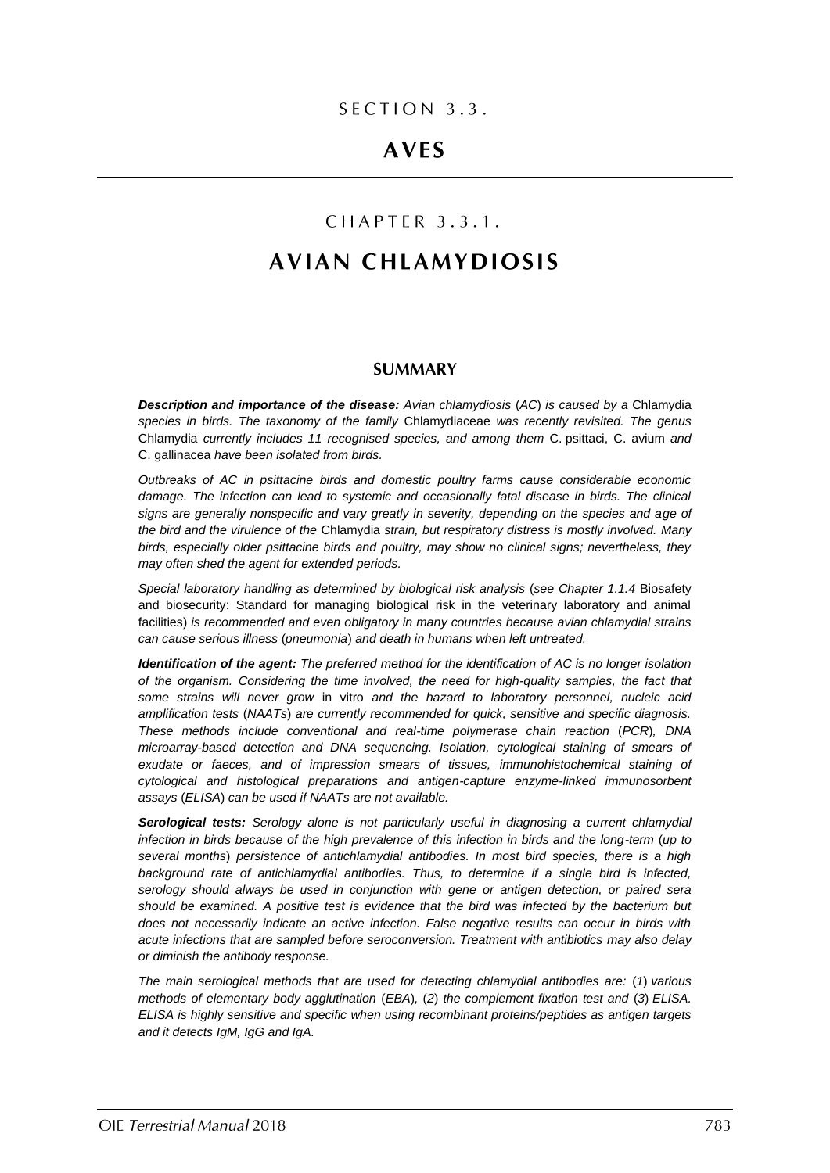# **AVFS**

# CHAPTER 3.3.1.

# **AVIAN CHLAMYDIOSIS**

### **SUMMARY**

*Description and importance of the disease: Avian chlamydiosis* (*AC*) *is caused by a* Chlamydia *species in birds. The taxonomy of the family* Chlamydiaceae *was recently revisited. The genus*  Chlamydia *currently includes 11 recognised species, and among them* C. psittaci, C. avium *and*  C. gallinacea *have been isolated from birds.*

*Outbreaks of AC in psittacine birds and domestic poultry farms cause considerable economic*  damage. The infection can lead to systemic and occasionally fatal disease in birds. The clinical *signs are generally nonspecific and vary greatly in severity, depending on the species and age of the bird and the virulence of the* Chlamydia *strain, but respiratory distress is mostly involved. Many birds, especially older psittacine birds and poultry, may show no clinical signs; nevertheless, they may often shed the agent for extended periods.*

*Special laboratory handling as determined by biological risk analysis* (*see Chapter 1.1.4* Biosafety and biosecurity: Standard for managing biological risk in the veterinary laboratory and animal facilities) *is recommended and even obligatory in many countries because avian chlamydial strains can cause serious illness* (*pneumonia*) *and death in humans when left untreated.*

*Identification of the agent: The preferred method for the identification of AC is no longer isolation of the organism. Considering the time involved, the need for high-quality samples, the fact that some strains will never grow* in vitro *and the hazard to laboratory personnel, nucleic acid amplification tests* (*NAATs*) *are currently recommended for quick, sensitive and specific diagnosis. These methods include conventional and real-time polymerase chain reaction* (*PCR*)*, DNA microarray-based detection and DNA sequencing. Isolation, cytological staining of smears of exudate or faeces, and of impression smears of tissues, immunohistochemical staining of cytological and histological preparations and antigen-capture enzyme-linked immunosorbent assays* (*ELISA*) *can be used if NAATs are not available.*

*Serological tests: Serology alone is not particularly useful in diagnosing a current chlamydial infection in birds because of the high prevalence of this infection in birds and the long-term (up to several months*) *persistence of antichlamydial antibodies. In most bird species, there is a high background rate of antichlamydial antibodies. Thus, to determine if a single bird is infected, serology should always be used in conjunction with gene or antigen detection, or paired sera should be examined. A positive test is evidence that the bird was infected by the bacterium but does not necessarily indicate an active infection. False negative results can occur in birds with acute infections that are sampled before seroconversion. Treatment with antibiotics may also delay or diminish the antibody response.*

*The main serological methods that are used for detecting chlamydial antibodies are:* (*1*) *various methods of elementary body agglutination* (*EBA*)*,* (*2*) *the complement fixation test and* (*3*) *ELISA. ELISA is highly sensitive and specific when using recombinant proteins/peptides as antigen targets and it detects IgM, IgG and IgA.*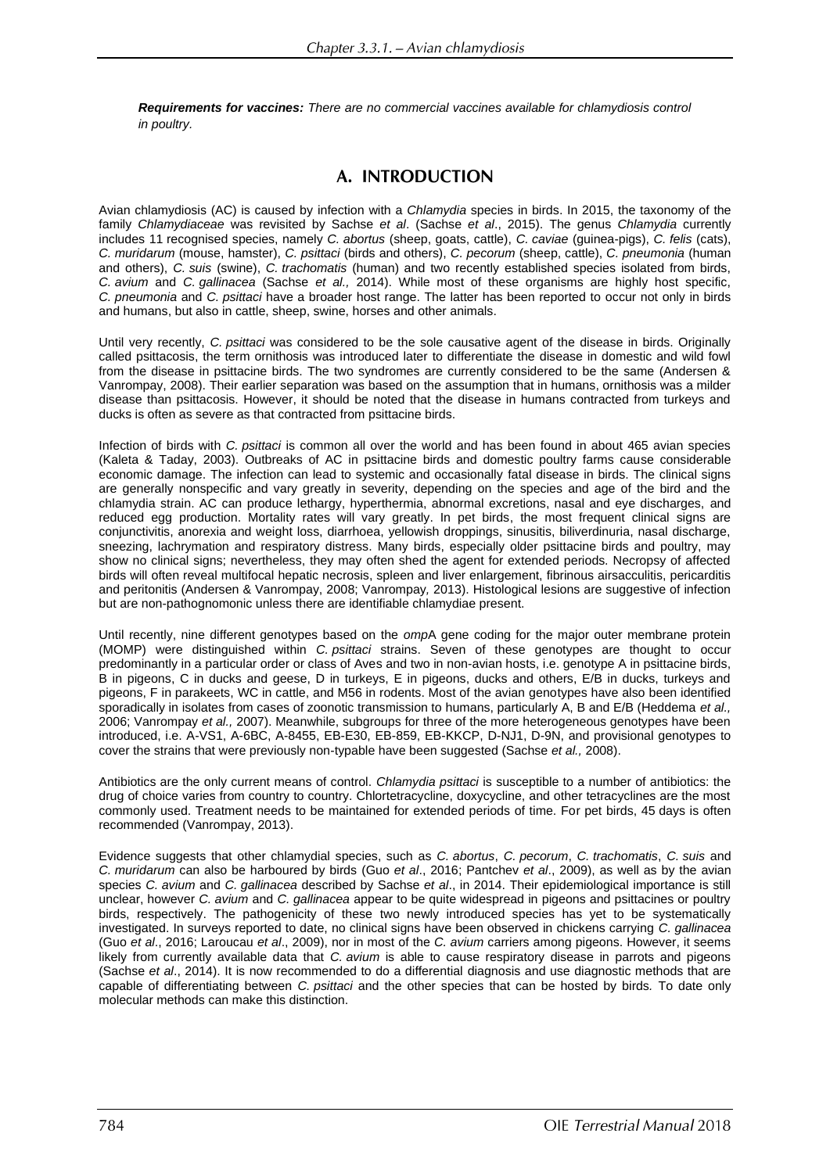*Requirements for vaccines: There are no commercial vaccines available for chlamydiosis control in poultry.*

## A. INTRODUCTION

Avian chlamydiosis (AC) is caused by infection with a *Chlamydia* species in birds. In 2015, the taxonomy of the family *Chlamydiaceae* was revisited by Sachse *et al*. (Sachse *et al*., 2015). The genus *Chlamydia* currently includes 11 recognised species, namely *C. abortus* (sheep, goats, cattle), *C. caviae* (guinea-pigs), *C. felis* (cats), *C. muridarum* (mouse, hamster), *C. psittaci* (birds and others), *C. pecorum* (sheep, cattle), *C. pneumonia* (human and others), *C. suis* (swine), *C. trachomatis* (human) and two recently established species isolated from birds, *C. avium* and *C. gallinacea* (Sachse *et al.,* 2014). While most of these organisms are highly host specific, *C. pneumonia* and *C. psittaci* have a broader host range. The latter has been reported to occur not only in birds and humans, but also in cattle, sheep, swine, horses and other animals.

Until very recently, *C. psittaci* was considered to be the sole causative agent of the disease in birds. Originally called psittacosis, the term ornithosis was introduced later to differentiate the disease in domestic and wild fowl from the disease in psittacine birds. The two syndromes are currently considered to be the same (Andersen & Vanrompay, 2008). Their earlier separation was based on the assumption that in humans, ornithosis was a milder disease than psittacosis. However, it should be noted that the disease in humans contracted from turkeys and ducks is often as severe as that contracted from psittacine birds.

Infection of birds with *C. psittaci* is common all over the world and has been found in about 465 avian species (Kaleta & Taday, 2003). Outbreaks of AC in psittacine birds and domestic poultry farms cause considerable economic damage. The infection can lead to systemic and occasionally fatal disease in birds. The clinical signs are generally nonspecific and vary greatly in severity, depending on the species and age of the bird and the chlamydia strain. AC can produce lethargy, hyperthermia, abnormal excretions, nasal and eye discharges, and reduced egg production. Mortality rates will vary greatly. In pet birds, the most frequent clinical signs are conjunctivitis, anorexia and weight loss, diarrhoea, yellowish droppings, sinusitis, biliverdinuria, nasal discharge, sneezing, lachrymation and respiratory distress. Many birds, especially older psittacine birds and poultry, may show no clinical signs; nevertheless, they may often shed the agent for extended periods. Necropsy of affected birds will often reveal multifocal hepatic necrosis, spleen and liver enlargement, fibrinous airsacculitis, pericarditis and peritonitis (Andersen & Vanrompay, 2008; Vanrompay*,* 2013). Histological lesions are suggestive of infection but are non-pathognomonic unless there are identifiable chlamydiae present.

Until recently, nine different genotypes based on the *omp*A gene coding for the major outer membrane protein (MOMP) were distinguished within *C. psittaci* strains. Seven of these genotypes are thought to occur predominantly in a particular order or class of Aves and two in non-avian hosts, i.e. genotype A in psittacine birds, B in pigeons, C in ducks and geese, D in turkeys, E in pigeons, ducks and others, E/B in ducks, turkeys and pigeons, F in parakeets, WC in cattle, and M56 in rodents. Most of the avian genotypes have also been identified sporadically in isolates from cases of zoonotic transmission to humans, particularly A, B and E/B (Heddema *et al.,* 2006; Vanrompay *et al.,* 2007). Meanwhile, subgroups for three of the more heterogeneous genotypes have been introduced, i.e. A-VS1, A-6BC, A-8455, EB-E30, EB-859, EB-KKCP, D-NJ1, D-9N, and provisional genotypes to cover the strains that were previously non-typable have been suggested (Sachse *et al.,* 2008).

Antibiotics are the only current means of control. *Chlamydia psittaci* is susceptible to a number of antibiotics: the drug of choice varies from country to country. Chlortetracycline, doxycycline, and other tetracyclines are the most commonly used. Treatment needs to be maintained for extended periods of time. For pet birds, 45 days is often recommended (Vanrompay, 2013).

Evidence suggests that other chlamydial species, such as *C. abortus*, *C. pecorum*, *C. trachomatis*, *C. suis* and *C. muridarum* can also be harboured by birds (Guo *et al*., 2016; Pantchev *et al*., 2009), as well as by the avian species *C. avium* and *C. gallinacea* described by Sachse *et al*., in 2014. Their epidemiological importance is still unclear, however *C. avium* and *C. gallinacea* appear to be quite widespread in pigeons and psittacines or poultry birds, respectively. The pathogenicity of these two newly introduced species has yet to be systematically investigated. In surveys reported to date, no clinical signs have been observed in chickens carrying *C. gallinacea* (Guo *et al*., 2016; Laroucau *et al*., 2009), nor in most of the *C. avium* carriers among pigeons. However, it seems likely from currently available data that *C. avium* is able to cause respiratory disease in parrots and pigeons (Sachse *et al*., 2014). It is now recommended to do a differential diagnosis and use diagnostic methods that are capable of differentiating between *C. psittaci* and the other species that can be hosted by birds*.* To date only molecular methods can make this distinction.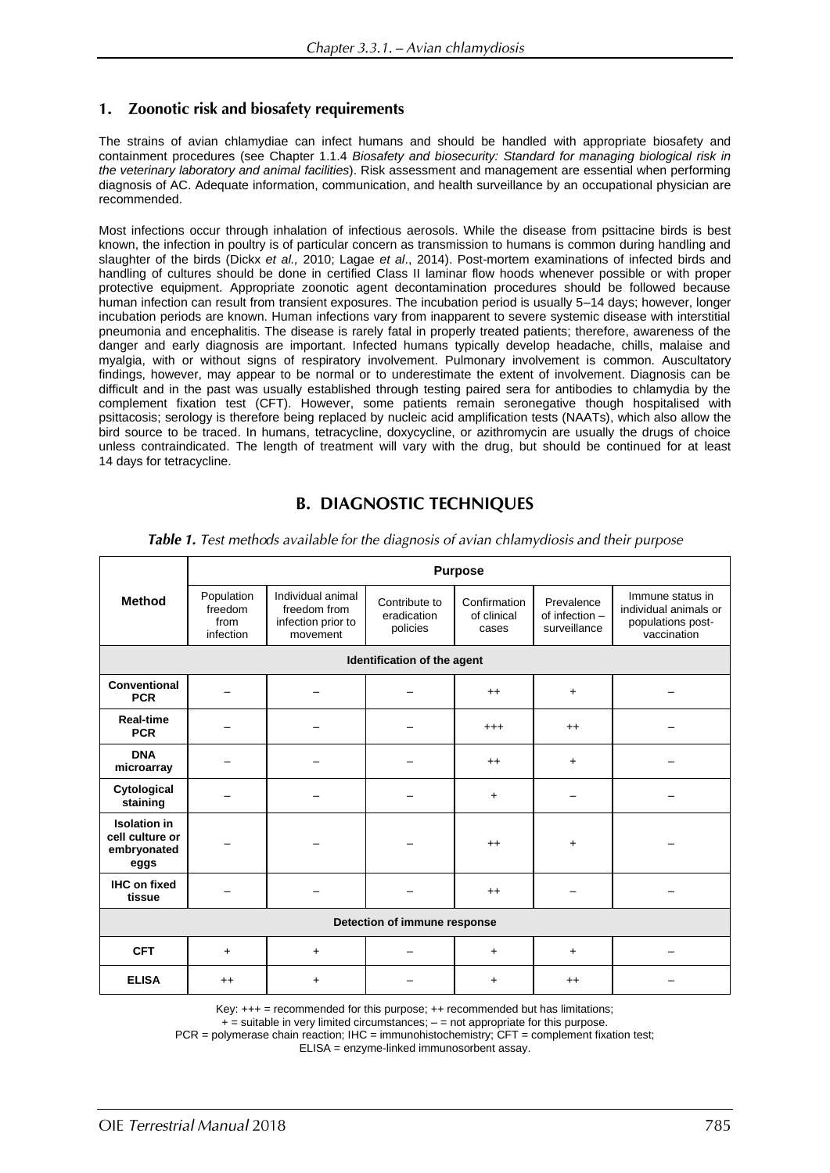#### 1. **Zoonotic risk and biosafety requirements**

The strains of avian chlamydiae can infect humans and should be handled with appropriate biosafety and containment procedures (see Chapter 1.1.4 *Biosafety and biosecurity: Standard for managing biological risk in the veterinary laboratory and animal facilities*). Risk assessment and management are essential when performing diagnosis of AC. Adequate information, communication, and health surveillance by an occupational physician are recommended.

Most infections occur through inhalation of infectious aerosols. While the disease from psittacine birds is best known, the infection in poultry is of particular concern as transmission to humans is common during handling and slaughter of the birds (Dickx *et al.,* 2010; Lagae *et al*., 2014). Post-mortem examinations of infected birds and handling of cultures should be done in certified Class II laminar flow hoods whenever possible or with proper protective equipment. Appropriate zoonotic agent decontamination procedures should be followed because human infection can result from transient exposures. The incubation period is usually 5–14 days; however, longer incubation periods are known. Human infections vary from inapparent to severe systemic disease with interstitial pneumonia and encephalitis. The disease is rarely fatal in properly treated patients; therefore, awareness of the danger and early diagnosis are important. Infected humans typically develop headache, chills, malaise and myalgia, with or without signs of respiratory involvement. Pulmonary involvement is common. Auscultatory findings, however, may appear to be normal or to underestimate the extent of involvement. Diagnosis can be difficult and in the past was usually established through testing paired sera for antibodies to chlamydia by the complement fixation test (CFT). However, some patients remain seronegative though hospitalised with psittacosis; serology is therefore being replaced by nucleic acid amplification tests (NAATs), which also allow the bird source to be traced. In humans, tetracycline, doxycycline, or azithromycin are usually the drugs of choice unless contraindicated. The length of treatment will vary with the drug, but should be continued for at least 14 days for tetracycline.

# **B. DIAGNOSTIC TECHNIQUES**

|                                                               | <b>Purpose</b>                             |                                                                     |                                          |                                      |                                              |                                                                               |
|---------------------------------------------------------------|--------------------------------------------|---------------------------------------------------------------------|------------------------------------------|--------------------------------------|----------------------------------------------|-------------------------------------------------------------------------------|
| <b>Method</b>                                                 | Population<br>freedom<br>from<br>infection | Individual animal<br>freedom from<br>infection prior to<br>movement | Contribute to<br>eradication<br>policies | Confirmation<br>of clinical<br>cases | Prevalence<br>of infection -<br>surveillance | Immune status in<br>individual animals or<br>populations post-<br>vaccination |
| Identification of the agent                                   |                                            |                                                                     |                                          |                                      |                                              |                                                                               |
| Conventional<br><b>PCR</b>                                    |                                            |                                                                     |                                          | $^{++}$                              | $\ddot{}$                                    |                                                                               |
| <b>Real-time</b><br><b>PCR</b>                                |                                            |                                                                     |                                          | $^{+++}$                             | $^{++}$                                      |                                                                               |
| <b>DNA</b><br>microarray                                      |                                            |                                                                     |                                          | $^{++}$                              | $\ddot{}$                                    |                                                                               |
| Cytological<br>staining                                       |                                            |                                                                     |                                          | $+$                                  |                                              |                                                                               |
| <b>Isolation</b> in<br>cell culture or<br>embryonated<br>eggs |                                            |                                                                     |                                          | $++$                                 | $\ddot{}$                                    |                                                                               |
| <b>IHC</b> on fixed<br>tissue                                 |                                            |                                                                     |                                          | $^{++}$                              |                                              |                                                                               |
| Detection of immune response                                  |                                            |                                                                     |                                          |                                      |                                              |                                                                               |
| <b>CFT</b>                                                    | $\ddot{}$                                  | $\ddot{}$                                                           |                                          | $+$                                  | $+$                                          |                                                                               |
| <b>ELISA</b>                                                  | $^{++}$                                    | $\ddot{}$                                                           |                                          | $+$                                  | $^{++}$                                      |                                                                               |

Table 1. Test methods available for the diagnosis of avian chlamydiosis and their purpose

Key: +++ = recommended for this purpose; ++ recommended but has limitations;

 $+$  = suitable in very limited circumstances;  $-$  = not appropriate for this purpose.

 $PCR = polymerase chain reaction$ ;  $IHC = immunohistochemistry$ ;  $CFT = complement fixation test$ ;

ELISA = enzyme-linked immunosorbent assay.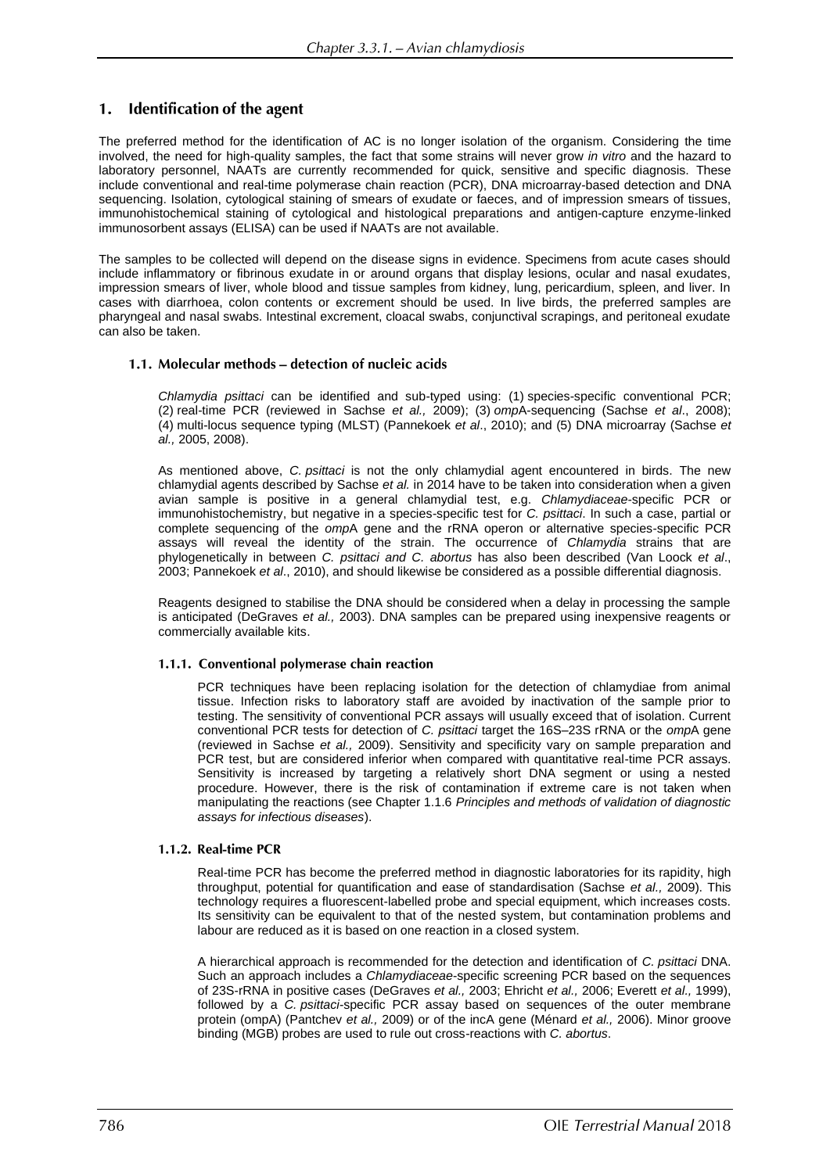#### 1. Identification of the agent

The preferred method for the identification of AC is no longer isolation of the organism. Considering the time involved, the need for high-quality samples, the fact that some strains will never grow *in vitro* and the hazard to laboratory personnel, NAATs are currently recommended for quick, sensitive and specific diagnosis. These include conventional and real-time polymerase chain reaction (PCR), DNA microarray-based detection and DNA sequencing. Isolation, cytological staining of smears of exudate or faeces, and of impression smears of tissues, immunohistochemical staining of cytological and histological preparations and antigen-capture enzyme-linked immunosorbent assays (ELISA) can be used if NAATs are not available.

The samples to be collected will depend on the disease signs in evidence. Specimens from acute cases should include inflammatory or fibrinous exudate in or around organs that display lesions, ocular and nasal exudates, impression smears of liver, whole blood and tissue samples from kidney, lung, pericardium, spleen, and liver. In cases with diarrhoea, colon contents or excrement should be used. In live birds, the preferred samples are pharyngeal and nasal swabs. Intestinal excrement, cloacal swabs, conjunctival scrapings, and peritoneal exudate can also be taken.

#### 1.1. Molecular methods – detection of nucleic acids

*Chlamydia psittaci* can be identified and sub-typed using: (1) species-specific conventional PCR; (2) real-time PCR (reviewed in Sachse *et al.,* 2009); (3) *omp*A-sequencing (Sachse *et al*., 2008); (4) multi-locus sequence typing (MLST) (Pannekoek *et al*., 2010); and (5) DNA microarray (Sachse *et al.,* 2005, 2008).

As mentioned above, *C. psittaci* is not the only chlamydial agent encountered in birds. The new chlamydial agents described by Sachse *et al.* in 2014 have to be taken into consideration when a given avian sample is positive in a general chlamydial test, e.g. *Chlamydiaceae*-specific PCR or immunohistochemistry, but negative in a species-specific test for *C. psittaci*. In such a case, partial or complete sequencing of the *omp*A gene and the rRNA operon or alternative species-specific PCR assays will reveal the identity of the strain. The occurrence of *Chlamydia* strains that are phylogenetically in between *C. psittaci and C. abortus* has also been described (Van Loock *et al*., 2003; Pannekoek *et al*., 2010), and should likewise be considered as a possible differential diagnosis.

Reagents designed to stabilise the DNA should be considered when a delay in processing the sample is anticipated (DeGraves *et al.,* 2003). DNA samples can be prepared using inexpensive reagents or commercially available kits.

#### 1.1.1. Conventional polymerase chain reaction

PCR techniques have been replacing isolation for the detection of chlamydiae from animal tissue. Infection risks to laboratory staff are avoided by inactivation of the sample prior to testing. The sensitivity of conventional PCR assays will usually exceed that of isolation. Current conventional PCR tests for detection of *C. psittaci* target the 16S–23S rRNA or the *omp*A gene (reviewed in Sachse *et al.,* 2009). Sensitivity and specificity vary on sample preparation and PCR test, but are considered inferior when compared with quantitative real-time PCR assays. Sensitivity is increased by targeting a relatively short DNA segment or using a nested procedure. However, there is the risk of contamination if extreme care is not taken when manipulating the reactions (see Chapter 1.1.6 *Principles and methods of validation of diagnostic assays for infectious diseases*).

#### 1.1.2. Real-time PCR

Real-time PCR has become the preferred method in diagnostic laboratories for its rapidity, high throughput, potential for quantification and ease of standardisation (Sachse *et al.,* 2009). This technology requires a fluorescent-labelled probe and special equipment, which increases costs. Its sensitivity can be equivalent to that of the nested system, but contamination problems and labour are reduced as it is based on one reaction in a closed system.

A hierarchical approach is recommended for the detection and identification of *C. psittaci* DNA. Such an approach includes a *Chlamydiaceae*-specific screening PCR based on the sequences of 23S-rRNA in positive cases (DeGraves *et al.,* 2003; Ehricht *et al.,* 2006; Everett *et al.,* 1999), followed by a *C. psittaci*-specific PCR assay based on sequences of the outer membrane protein (ompA) (Pantchev *et al.,* 2009) or of the incA gene (Ménard *et al.,* 2006). Minor groove binding (MGB) probes are used to rule out cross-reactions with *C. abortus*.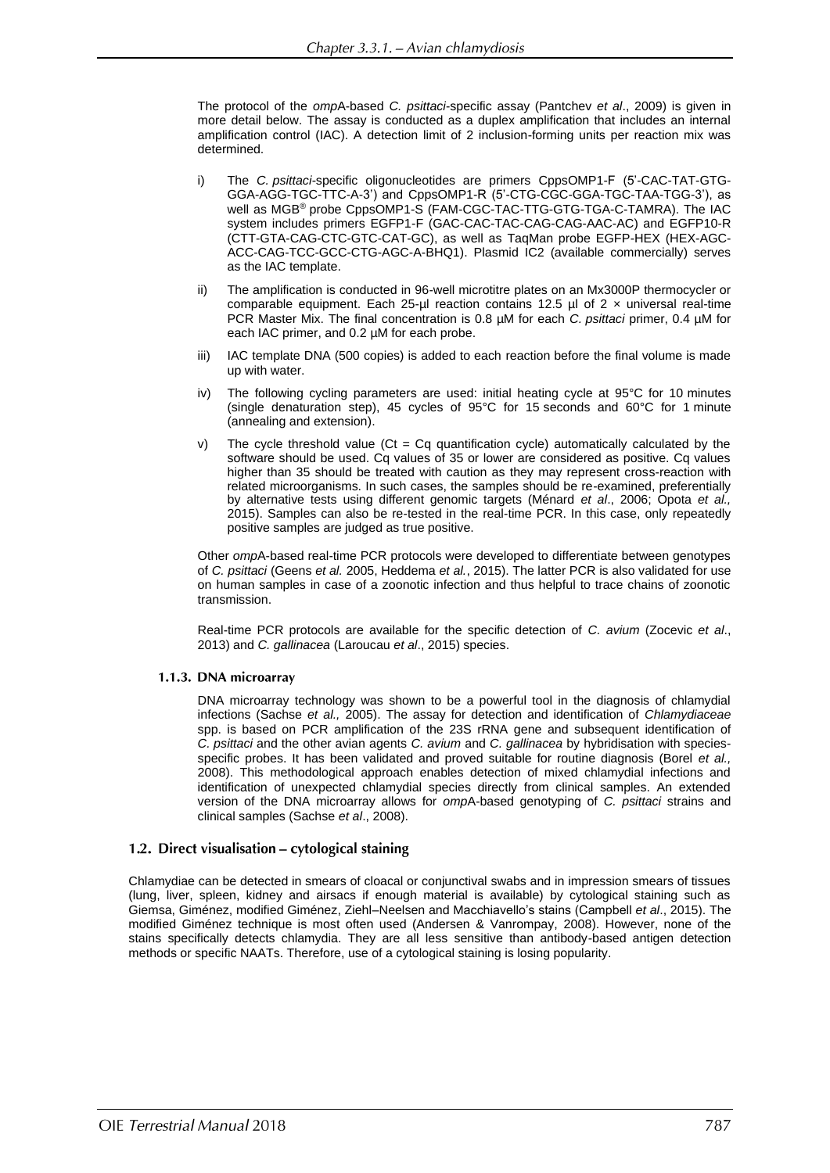The protocol of the *omp*A-based *C. psittaci*-specific assay (Pantchev *et al*., 2009) is given in more detail below. The assay is conducted as a duplex amplification that includes an internal amplification control (IAC). A detection limit of 2 inclusion-forming units per reaction mix was determined.

- i) The *C. psittaci*-specific oligonucleotides are primers CppsOMP1-F (5'-CAC-TAT-GTG-GGA-AGG-TGC-TTC-A-3') and CppsOMP1-R (5'-CTG-CGC-GGA-TGC-TAA-TGG-3'), as well as MGB® probe CppsOMP1-S (FAM-CGC-TAC-TTG-GTG-TGA-C-TAMRA). The IAC system includes primers EGFP1-F (GAC-CAC-TAC-CAG-CAG-AAC-AC) and EGFP10-R (CTT-GTA-CAG-CTC-GTC-CAT-GC), as well as TaqMan probe EGFP-HEX (HEX-AGC-ACC-CAG-TCC-GCC-CTG-AGC-A-BHQ1). Plasmid IC2 (available commercially) serves as the IAC template.
- ii) The amplification is conducted in 96-well microtitre plates on an Mx3000P thermocycler or comparable equipment. Each 25-µl reaction contains 12.5 µl of  $2 \times$  universal real-time PCR Master Mix. The final concentration is 0.8 µM for each *C. psittaci* primer, 0.4 µM for each IAC primer, and 0.2 µM for each probe.
- iii) IAC template DNA (500 copies) is added to each reaction before the final volume is made up with water.
- iv) The following cycling parameters are used: initial heating cycle at 95°C for 10 minutes (single denaturation step), 45 cycles of 95°C for 15 seconds and 60°C for 1 minute (annealing and extension).
- $v$ ) The cycle threshold value (Ct = Cq quantification cycle) automatically calculated by the software should be used. Cq values of 35 or lower are considered as positive. Cq values higher than 35 should be treated with caution as they may represent cross-reaction with related microorganisms. In such cases, the samples should be re-examined, preferentially by alternative tests using different genomic targets (Ménard *et al*., 2006; Opota *et al.,* 2015). Samples can also be re-tested in the real-time PCR. In this case, only repeatedly positive samples are judged as true positive.

Other *omp*A-based real-time PCR protocols were developed to differentiate between genotypes of *C. psittaci* (Geens *et al.* 2005, Heddema *et al.*, 2015). The latter PCR is also validated for use on human samples in case of a zoonotic infection and thus helpful to trace chains of zoonotic transmission.

Real-time PCR protocols are available for the specific detection of *C. avium* (Zocevic *et al*., 2013) and *C. gallinacea* (Laroucau *et al*., 2015) species.

#### 1.1.3. DNA microarray

DNA microarray technology was shown to be a powerful tool in the diagnosis of chlamydial infections (Sachse *et al.,* 2005). The assay for detection and identification of *Chlamydiaceae* spp. is based on PCR amplification of the 23S rRNA gene and subsequent identification of *C. psittaci* and the other avian agents *C. avium* and *C. gallinacea* by hybridisation with speciesspecific probes. It has been validated and proved suitable for routine diagnosis (Borel *et al.,* 2008). This methodological approach enables detection of mixed chlamydial infections and identification of unexpected chlamydial species directly from clinical samples. An extended version of the DNA microarray allows for *omp*A-based genotyping of *C. psittaci* strains and clinical samples (Sachse *et al*., 2008).

#### 1.2. Direct visualisation – cytological staining

Chlamydiae can be detected in smears of cloacal or conjunctival swabs and in impression smears of tissues (lung, liver, spleen, kidney and airsacs if enough material is available) by cytological staining such as Giemsa, Giménez, modified Giménez, Ziehl–Neelsen and Macchiavello's stains (Campbell *et al*., 2015). The modified Giménez technique is most often used (Andersen & Vanrompay, 2008). However, none of the stains specifically detects chlamydia. They are all less sensitive than antibody-based antigen detection methods or specific NAATs. Therefore, use of a cytological staining is losing popularity.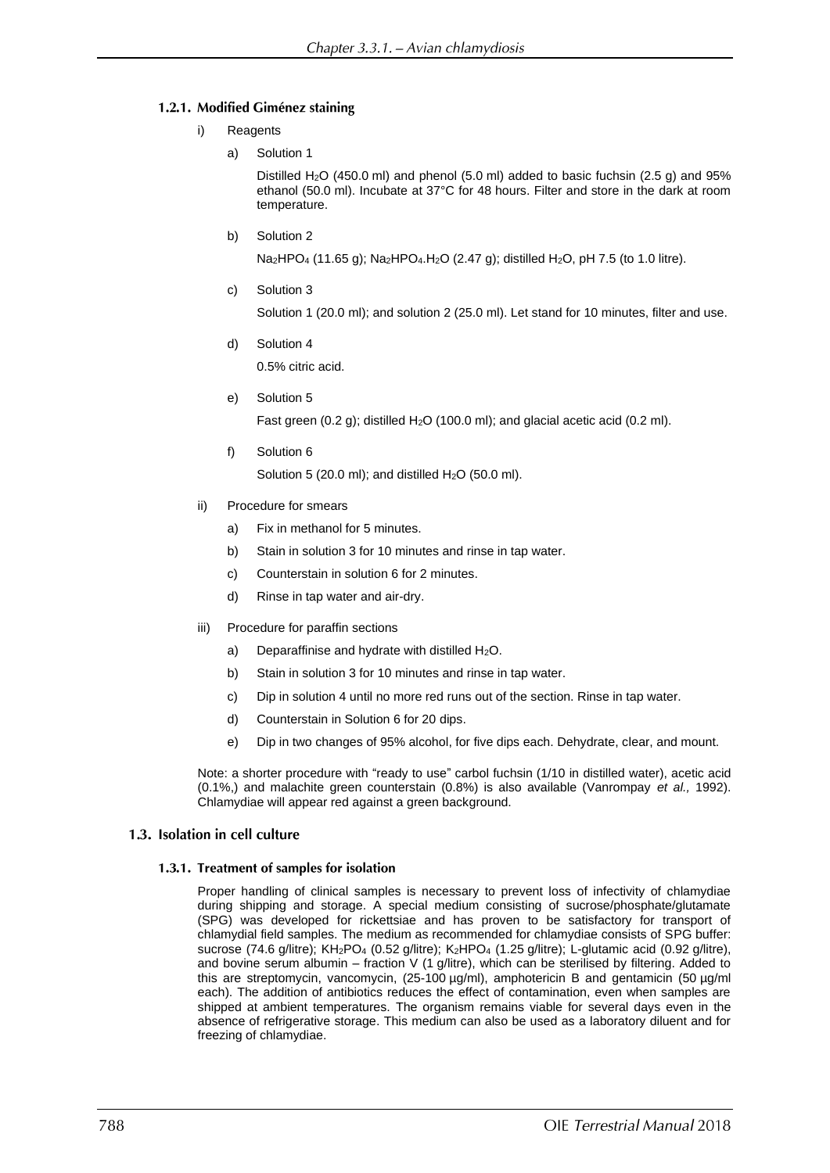### 1.2.1. Modified Giménez staining

- i) Reagents
	- a) Solution 1

Distilled H<sub>2</sub>O (450.0 ml) and phenol (5.0 ml) added to basic fuchsin (2.5 g) and 95% ethanol (50.0 ml). Incubate at 37°C for 48 hours. Filter and store in the dark at room temperature.

b) Solution 2

Na<sub>2</sub>HPO<sub>4</sub> (11.65 g); Na<sub>2</sub>HPO<sub>4</sub>.H<sub>2</sub>O (2.47 g); distilled H<sub>2</sub>O, pH 7.5 (to 1.0 litre).

c) Solution 3

Solution 1 (20.0 ml); and solution 2 (25.0 ml). Let stand for 10 minutes, filter and use.

d) Solution 4

0.5% citric acid.

e) Solution 5

Fast green  $(0.2 g)$ ; distilled H<sub>2</sub>O  $(100.0 m)$ ; and glacial acetic acid  $(0.2 m)$ .

f) Solution 6

Solution 5 (20.0 ml); and distilled  $H<sub>2</sub>O$  (50.0 ml).

- ii) Procedure for smears
	- a) Fix in methanol for 5 minutes.
	- b) Stain in solution 3 for 10 minutes and rinse in tap water.
	- c) Counterstain in solution 6 for 2 minutes.
	- d) Rinse in tap water and air-dry.
- iii) Procedure for paraffin sections
	- a) Deparaffinise and hydrate with distilled  $H_2O$ .
	- b) Stain in solution 3 for 10 minutes and rinse in tap water.
	- c) Dip in solution 4 until no more red runs out of the section. Rinse in tap water.
	- d) Counterstain in Solution 6 for 20 dips.
	- e) Dip in two changes of 95% alcohol, for five dips each. Dehydrate, clear, and mount.

Note: a shorter procedure with "ready to use" carbol fuchsin (1/10 in distilled water), acetic acid (0.1%,) and malachite green counterstain (0.8%) is also available (Vanrompay *et al.,* 1992). Chlamydiae will appear red against a green background.

#### 1.3. Isolation in cell culture

#### 1.3.1. Treatment of samples for isolation

Proper handling of clinical samples is necessary to prevent loss of infectivity of chlamydiae during shipping and storage. A special medium consisting of sucrose/phosphate/glutamate (SPG) was developed for rickettsiae and has proven to be satisfactory for transport of chlamydial field samples. The medium as recommended for chlamydiae consists of SPG buffer: sucrose (74.6 g/litre); KH2PO<sup>4</sup> (0.52 g/litre); K2HPO<sup>4</sup> (1.25 g/litre); L-glutamic acid (0.92 g/litre), and bovine serum albumin – fraction V (1 g/litre), which can be sterilised by filtering. Added to this are streptomycin, vancomycin, (25-100 µg/ml), amphotericin B and gentamicin (50 µg/ml each). The addition of antibiotics reduces the effect of contamination, even when samples are shipped at ambient temperatures. The organism remains viable for several days even in the absence of refrigerative storage. This medium can also be used as a laboratory diluent and for freezing of chlamydiae.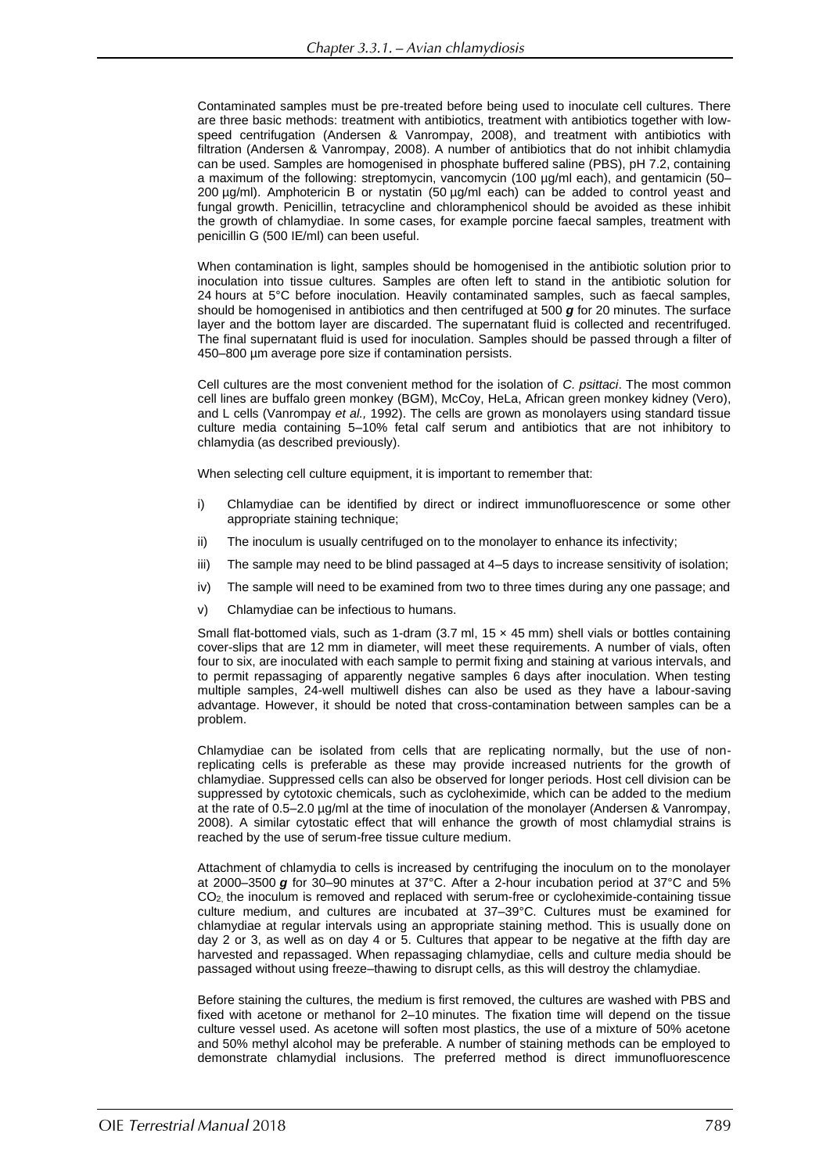Contaminated samples must be pre-treated before being used to inoculate cell cultures. There are three basic methods: treatment with antibiotics, treatment with antibiotics together with lowspeed centrifugation (Andersen & Vanrompay, 2008), and treatment with antibiotics with filtration (Andersen & Vanrompay, 2008). A number of antibiotics that do not inhibit chlamydia can be used. Samples are homogenised in phosphate buffered saline (PBS), pH 7.2, containing a maximum of the following: streptomycin, vancomycin (100 µg/ml each), and gentamicin (50– 200 µg/ml). Amphotericin B or nystatin (50 µg/ml each) can be added to control yeast and fungal growth. Penicillin, tetracycline and chloramphenicol should be avoided as these inhibit the growth of chlamydiae. In some cases, for example porcine faecal samples, treatment with penicillin G (500 IE/ml) can been useful.

When contamination is light, samples should be homogenised in the antibiotic solution prior to inoculation into tissue cultures. Samples are often left to stand in the antibiotic solution for 24 hours at 5°C before inoculation. Heavily contaminated samples, such as faecal samples, should be homogenised in antibiotics and then centrifuged at 500 *g* for 20 minutes. The surface layer and the bottom layer are discarded. The supernatant fluid is collected and recentrifuged. The final supernatant fluid is used for inoculation. Samples should be passed through a filter of 450–800 µm average pore size if contamination persists.

Cell cultures are the most convenient method for the isolation of *C. psittaci*. The most common cell lines are buffalo green monkey (BGM), McCoy, HeLa, African green monkey kidney (Vero), and L cells (Vanrompay *et al.,* 1992). The cells are grown as monolayers using standard tissue culture media containing 5–10% fetal calf serum and antibiotics that are not inhibitory to chlamydia (as described previously).

When selecting cell culture equipment, it is important to remember that:

- i) Chlamydiae can be identified by direct or indirect immunofluorescence or some other appropriate staining technique;
- ii) The inoculum is usually centrifuged on to the monolayer to enhance its infectivity;
- iii) The sample may need to be blind passaged at 4–5 days to increase sensitivity of isolation;
- iv) The sample will need to be examined from two to three times during any one passage; and
- v) Chlamydiae can be infectious to humans.

Small flat-bottomed vials, such as 1-dram (3.7 ml,  $15 \times 45$  mm) shell vials or bottles containing cover-slips that are 12 mm in diameter, will meet these requirements. A number of vials, often four to six, are inoculated with each sample to permit fixing and staining at various intervals, and to permit repassaging of apparently negative samples 6 days after inoculation. When testing multiple samples, 24-well multiwell dishes can also be used as they have a labour-saving advantage. However, it should be noted that cross-contamination between samples can be a problem.

Chlamydiae can be isolated from cells that are replicating normally, but the use of nonreplicating cells is preferable as these may provide increased nutrients for the growth of chlamydiae. Suppressed cells can also be observed for longer periods. Host cell division can be suppressed by cytotoxic chemicals, such as cycloheximide, which can be added to the medium at the rate of 0.5–2.0 µg/ml at the time of inoculation of the monolayer (Andersen & Vanrompay, 2008). A similar cytostatic effect that will enhance the growth of most chlamydial strains is reached by the use of serum-free tissue culture medium.

Attachment of chlamydia to cells is increased by centrifuging the inoculum on to the monolayer at 2000–3500 *g* for 30–90 minutes at 37°C. After a 2-hour incubation period at 37°C and 5% CO2, the inoculum is removed and replaced with serum-free or cycloheximide-containing tissue culture medium, and cultures are incubated at 37–39°C. Cultures must be examined for chlamydiae at regular intervals using an appropriate staining method. This is usually done on day 2 or 3, as well as on day 4 or 5. Cultures that appear to be negative at the fifth day are harvested and repassaged. When repassaging chlamydiae, cells and culture media should be passaged without using freeze–thawing to disrupt cells, as this will destroy the chlamydiae.

Before staining the cultures, the medium is first removed, the cultures are washed with PBS and fixed with acetone or methanol for 2–10 minutes. The fixation time will depend on the tissue culture vessel used. As acetone will soften most plastics, the use of a mixture of 50% acetone and 50% methyl alcohol may be preferable. A number of staining methods can be employed to demonstrate chlamydial inclusions. The preferred method is direct immunofluorescence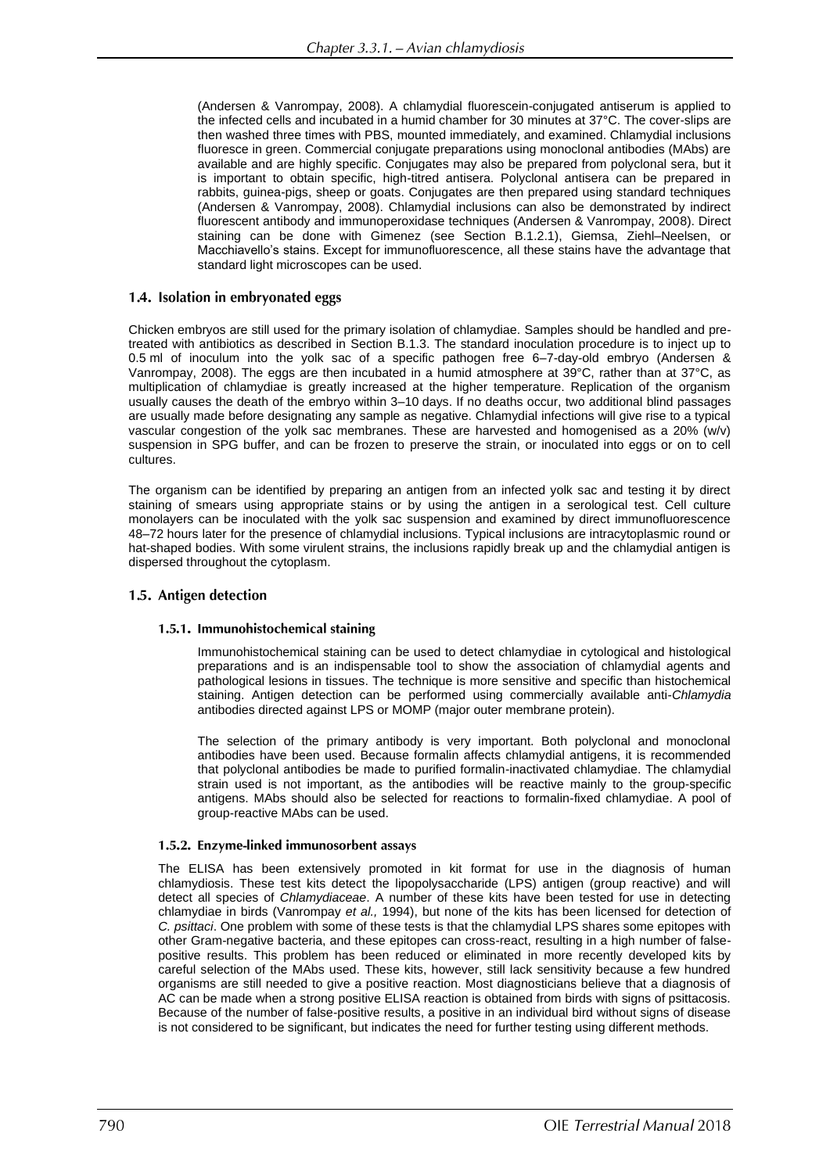(Andersen & Vanrompay, 2008). A chlamydial fluorescein-conjugated antiserum is applied to the infected cells and incubated in a humid chamber for 30 minutes at 37°C. The cover-slips are then washed three times with PBS, mounted immediately, and examined. Chlamydial inclusions fluoresce in green. Commercial conjugate preparations using monoclonal antibodies (MAbs) are available and are highly specific. Conjugates may also be prepared from polyclonal sera, but it is important to obtain specific, high-titred antisera. Polyclonal antisera can be prepared in rabbits, guinea-pigs, sheep or goats. Conjugates are then prepared using standard techniques (Andersen & Vanrompay, 2008). Chlamydial inclusions can also be demonstrated by indirect fluorescent antibody and immunoperoxidase techniques (Andersen & Vanrompay, 2008). Direct staining can be done with Gimenez (see Section B.1.2.1), Giemsa, Ziehl–Neelsen, or Macchiavello's stains. Except for immunofluorescence, all these stains have the advantage that standard light microscopes can be used.

#### 1.4. Isolation in embryonated eggs

Chicken embryos are still used for the primary isolation of chlamydiae. Samples should be handled and pretreated with antibiotics as described in Section B.1.3. The standard inoculation procedure is to inject up to 0.5 ml of inoculum into the yolk sac of a specific pathogen free 6–7-day-old embryo (Andersen & Vanrompay, 2008). The eggs are then incubated in a humid atmosphere at 39°C, rather than at 37°C, as multiplication of chlamydiae is greatly increased at the higher temperature. Replication of the organism usually causes the death of the embryo within 3–10 days. If no deaths occur, two additional blind passages are usually made before designating any sample as negative. Chlamydial infections will give rise to a typical vascular congestion of the yolk sac membranes. These are harvested and homogenised as a 20% (w/v) suspension in SPG buffer, and can be frozen to preserve the strain, or inoculated into eggs or on to cell cultures.

The organism can be identified by preparing an antigen from an infected yolk sac and testing it by direct staining of smears using appropriate stains or by using the antigen in a serological test. Cell culture monolayers can be inoculated with the yolk sac suspension and examined by direct immunofluorescence 48–72 hours later for the presence of chlamydial inclusions. Typical inclusions are intracytoplasmic round or hat-shaped bodies. With some virulent strains, the inclusions rapidly break up and the chlamydial antigen is dispersed throughout the cytoplasm.

#### 1.5. Antigen detection

#### 1.5.1. Immunohistochemical staining

Immunohistochemical staining can be used to detect chlamydiae in cytological and histological preparations and is an indispensable tool to show the association of chlamydial agents and pathological lesions in tissues. The technique is more sensitive and specific than histochemical staining. Antigen detection can be performed using commercially available anti-*Chlamydia* antibodies directed against LPS or MOMP (major outer membrane protein).

The selection of the primary antibody is very important. Both polyclonal and monoclonal antibodies have been used. Because formalin affects chlamydial antigens, it is recommended that polyclonal antibodies be made to purified formalin-inactivated chlamydiae. The chlamydial strain used is not important, as the antibodies will be reactive mainly to the group-specific antigens. MAbs should also be selected for reactions to formalin-fixed chlamydiae. A pool of group-reactive MAbs can be used.

#### 1.5.2. Enzyme-linked immunosorbent assays

The ELISA has been extensively promoted in kit format for use in the diagnosis of human chlamydiosis. These test kits detect the lipopolysaccharide (LPS) antigen (group reactive) and will detect all species of *Chlamydiaceae*. A number of these kits have been tested for use in detecting chlamydiae in birds (Vanrompay *et al.,* 1994), but none of the kits has been licensed for detection of *C. psittaci*. One problem with some of these tests is that the chlamydial LPS shares some epitopes with other Gram-negative bacteria, and these epitopes can cross-react, resulting in a high number of falsepositive results. This problem has been reduced or eliminated in more recently developed kits by careful selection of the MAbs used. These kits, however, still lack sensitivity because a few hundred organisms are still needed to give a positive reaction. Most diagnosticians believe that a diagnosis of AC can be made when a strong positive ELISA reaction is obtained from birds with signs of psittacosis. Because of the number of false-positive results, a positive in an individual bird without signs of disease is not considered to be significant, but indicates the need for further testing using different methods.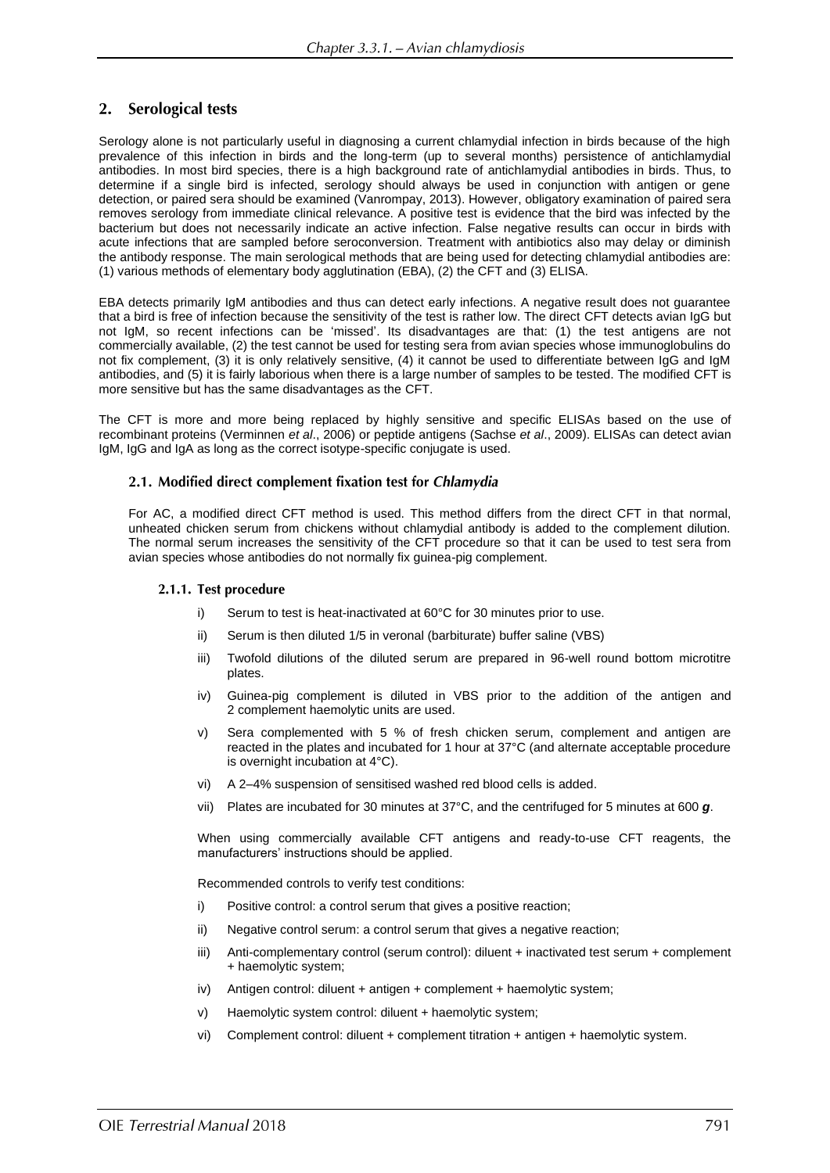#### $2.$ **Serological tests**

Serology alone is not particularly useful in diagnosing a current chlamydial infection in birds because of the high prevalence of this infection in birds and the long-term (up to several months) persistence of antichlamydial antibodies. In most bird species, there is a high background rate of antichlamydial antibodies in birds. Thus, to determine if a single bird is infected, serology should always be used in conjunction with antigen or gene detection, or paired sera should be examined (Vanrompay, 2013). However, obligatory examination of paired sera removes serology from immediate clinical relevance. A positive test is evidence that the bird was infected by the bacterium but does not necessarily indicate an active infection. False negative results can occur in birds with acute infections that are sampled before seroconversion. Treatment with antibiotics also may delay or diminish the antibody response. The main serological methods that are being used for detecting chlamydial antibodies are: (1) various methods of elementary body agglutination (EBA), (2) the CFT and (3) ELISA.

EBA detects primarily IgM antibodies and thus can detect early infections. A negative result does not guarantee that a bird is free of infection because the sensitivity of the test is rather low. The direct CFT detects avian IgG but not IgM, so recent infections can be 'missed'. Its disadvantages are that: (1) the test antigens are not commercially available, (2) the test cannot be used for testing sera from avian species whose immunoglobulins do not fix complement, (3) it is only relatively sensitive, (4) it cannot be used to differentiate between IgG and IgM antibodies, and (5) it is fairly laborious when there is a large number of samples to be tested. The modified CFT is more sensitive but has the same disadvantages as the CFT.

The CFT is more and more being replaced by highly sensitive and specific ELISAs based on the use of recombinant proteins (Verminnen *et al*., 2006) or peptide antigens (Sachse *et al*., 2009). ELISAs can detect avian IgM, IgG and IgA as long as the correct isotype-specific conjugate is used.

#### 2.1. Modified direct complement fixation test for Chlamydia

For AC, a modified direct CFT method is used. This method differs from the direct CFT in that normal, unheated chicken serum from chickens without chlamydial antibody is added to the complement dilution. The normal serum increases the sensitivity of the CFT procedure so that it can be used to test sera from avian species whose antibodies do not normally fix guinea-pig complement.

#### 2.1.1. Test procedure

- i) Serum to test is heat-inactivated at 60°C for 30 minutes prior to use.
- ii) Serum is then diluted 1/5 in veronal (barbiturate) buffer saline (VBS)
- iii) Twofold dilutions of the diluted serum are prepared in 96-well round bottom microtitre plates.
- iv) Guinea-pig complement is diluted in VBS prior to the addition of the antigen and 2 complement haemolytic units are used.
- v) Sera complemented with 5 % of fresh chicken serum, complement and antigen are reacted in the plates and incubated for 1 hour at 37°C (and alternate acceptable procedure is overnight incubation at 4°C).
- vi) A 2–4% suspension of sensitised washed red blood cells is added.
- vii) Plates are incubated for 30 minutes at 37°C, and the centrifuged for 5 minutes at 600 *g*.

When using commercially available CFT antigens and ready-to-use CFT reagents, the manufacturers' instructions should be applied.

Recommended controls to verify test conditions:

- i) Positive control: a control serum that gives a positive reaction;
- ii) Negative control serum: a control serum that gives a negative reaction;
- iii) Anti-complementary control (serum control): diluent + inactivated test serum + complement + haemolytic system;
- iv) Antigen control: diluent + antigen + complement + haemolytic system;
- v) Haemolytic system control: diluent + haemolytic system;
- vi) Complement control: diluent + complement titration + antigen + haemolytic system.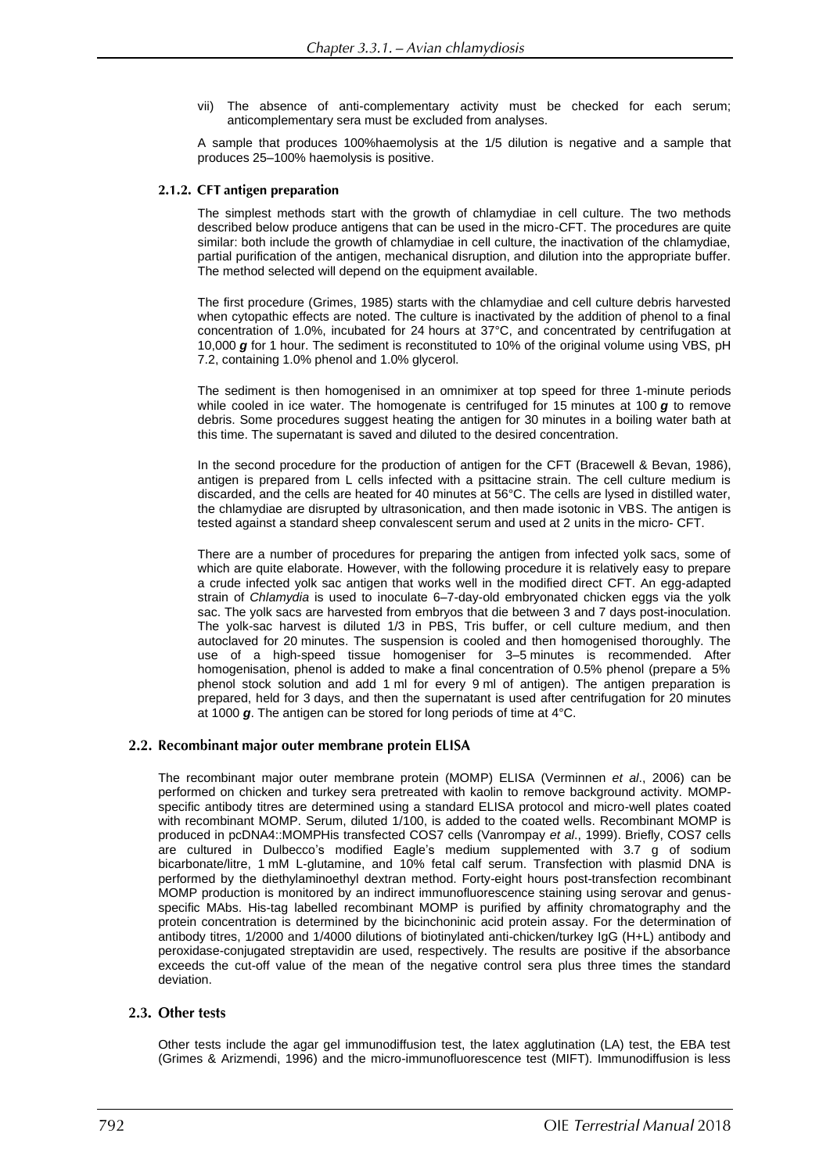vii) The absence of anti-complementary activity must be checked for each serum; anticomplementary sera must be excluded from analyses.

A sample that produces 100%haemolysis at the 1/5 dilution is negative and a sample that produces 25–100% haemolysis is positive.

#### 2.1.2. CFT antigen preparation

The simplest methods start with the growth of chlamydiae in cell culture. The two methods described below produce antigens that can be used in the micro-CFT. The procedures are quite similar: both include the growth of chlamydiae in cell culture, the inactivation of the chlamydiae, partial purification of the antigen, mechanical disruption, and dilution into the appropriate buffer. The method selected will depend on the equipment available.

The first procedure (Grimes, 1985) starts with the chlamydiae and cell culture debris harvested when cytopathic effects are noted. The culture is inactivated by the addition of phenol to a final concentration of 1.0%, incubated for 24 hours at 37°C, and concentrated by centrifugation at 10,000 *g* for 1 hour. The sediment is reconstituted to 10% of the original volume using VBS, pH 7.2, containing 1.0% phenol and 1.0% glycerol.

The sediment is then homogenised in an omnimixer at top speed for three 1-minute periods while cooled in ice water. The homogenate is centrifuged for 15 minutes at 100 **g** to remove debris. Some procedures suggest heating the antigen for 30 minutes in a boiling water bath at this time. The supernatant is saved and diluted to the desired concentration.

In the second procedure for the production of antigen for the CFT (Bracewell & Bevan, 1986), antigen is prepared from L cells infected with a psittacine strain. The cell culture medium is discarded, and the cells are heated for 40 minutes at 56°C. The cells are lysed in distilled water, the chlamydiae are disrupted by ultrasonication, and then made isotonic in VBS. The antigen is tested against a standard sheep convalescent serum and used at 2 units in the micro- CFT.

There are a number of procedures for preparing the antigen from infected yolk sacs, some of which are quite elaborate. However, with the following procedure it is relatively easy to prepare a crude infected yolk sac antigen that works well in the modified direct CFT. An egg-adapted strain of *Chlamydia* is used to inoculate 6–7-day-old embryonated chicken eggs via the yolk sac. The yolk sacs are harvested from embryos that die between 3 and 7 days post-inoculation. The yolk-sac harvest is diluted 1/3 in PBS, Tris buffer, or cell culture medium, and then autoclaved for 20 minutes. The suspension is cooled and then homogenised thoroughly. The use of a high-speed tissue homogeniser for 3–5 minutes is recommended. After homogenisation, phenol is added to make a final concentration of 0.5% phenol (prepare a 5% phenol stock solution and add 1 ml for every 9 ml of antigen). The antigen preparation is prepared, held for 3 days, and then the supernatant is used after centrifugation for 20 minutes at 1000 *g*. The antigen can be stored for long periods of time at 4°C.

#### 2.2. Recombinant major outer membrane protein ELISA

The recombinant major outer membrane protein (MOMP) ELISA (Verminnen *et al*., 2006) can be performed on chicken and turkey sera pretreated with kaolin to remove background activity. MOMPspecific antibody titres are determined using a standard ELISA protocol and micro-well plates coated with recombinant MOMP. Serum, diluted 1/100, is added to the coated wells. Recombinant MOMP is produced in pcDNA4::MOMPHis transfected COS7 cells (Vanrompay *et al*., 1999). Briefly, COS7 cells are cultured in Dulbecco's modified Eagle's medium supplemented with 3.7 g of sodium bicarbonate/litre, 1 mM L-glutamine, and 10% fetal calf serum. Transfection with plasmid DNA is performed by the diethylaminoethyl dextran method. Forty-eight hours post-transfection recombinant MOMP production is monitored by an indirect immunofluorescence staining using serovar and genusspecific MAbs. His-tag labelled recombinant MOMP is purified by affinity chromatography and the protein concentration is determined by the bicinchoninic acid protein assay. For the determination of antibody titres, 1/2000 and 1/4000 dilutions of biotinylated anti-chicken/turkey IgG (H+L) antibody and peroxidase-conjugated streptavidin are used, respectively. The results are positive if the absorbance exceeds the cut-off value of the mean of the negative control sera plus three times the standard deviation.

### 2.3. Other tests

Other tests include the agar gel immunodiffusion test, the latex agglutination (LA) test, the EBA test (Grimes & Arizmendi, 1996) and the micro-immunofluorescence test (MIFT). Immunodiffusion is less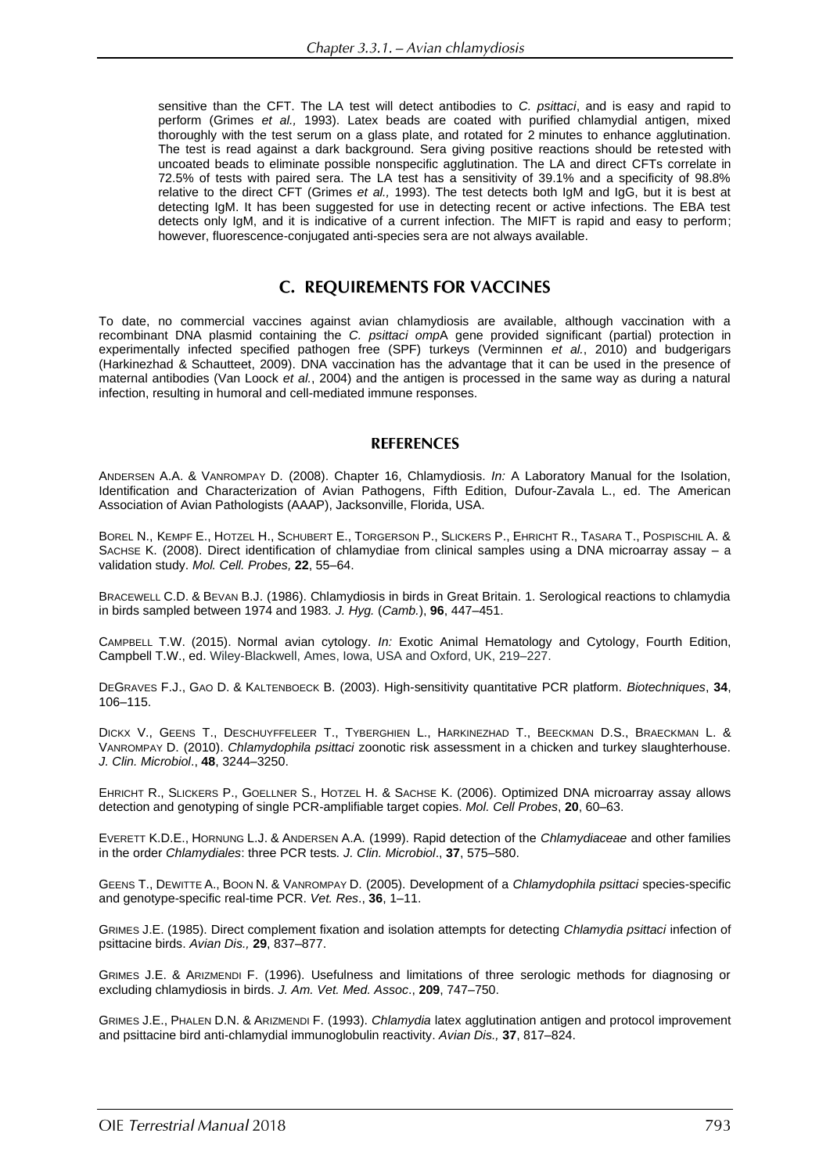sensitive than the CFT. The LA test will detect antibodies to *C. psittaci*, and is easy and rapid to perform (Grimes *et al.,* 1993). Latex beads are coated with purified chlamydial antigen, mixed thoroughly with the test serum on a glass plate, and rotated for 2 minutes to enhance agglutination. The test is read against a dark background. Sera giving positive reactions should be retested with uncoated beads to eliminate possible nonspecific agglutination. The LA and direct CFTs correlate in 72.5% of tests with paired sera. The LA test has a sensitivity of 39.1% and a specificity of 98.8% relative to the direct CFT (Grimes *et al.,* 1993). The test detects both IgM and IgG, but it is best at detecting IgM. It has been suggested for use in detecting recent or active infections. The EBA test detects only IgM, and it is indicative of a current infection. The MIFT is rapid and easy to perform; however, fluorescence-conjugated anti-species sera are not always available.

## **C. REQUIREMENTS FOR VACCINES**

To date, no commercial vaccines against avian chlamydiosis are available, although vaccination with a recombinant DNA plasmid containing the *C. psittaci omp*A gene provided significant (partial) protection in experimentally infected specified pathogen free (SPF) turkeys (Verminnen *et al.*, 2010) and budgerigars (Harkinezhad & Schautteet, 2009). DNA vaccination has the advantage that it can be used in the presence of maternal antibodies (Van Loock *et al.*, 2004) and the antigen is processed in the same way as during a natural infection, resulting in humoral and cell-mediated immune responses.

#### **REFERENCES**

ANDERSEN A.A. & VANROMPAY D. (2008). Chapter 16, Chlamydiosis. *In:* A Laboratory Manual for the Isolation, Identification and Characterization of Avian Pathogens, Fifth Edition, Dufour-Zavala L., ed. The American Association of Avian Pathologists (AAAP), Jacksonville, Florida, USA.

BOREL N., KEMPF E., HOTZEL H., SCHUBERT E., TORGERSON P., SLICKERS P., EHRICHT R., TASARA T., POSPISCHIL A. & SACHSE K. (2008). Direct identification of chlamydiae from clinical samples using a DNA microarray assay – a validation study. *Mol. Cell. Probes,* **22**, 55–64.

BRACEWELL C.D. & BEVAN B.J. (1986). Chlamydiosis in birds in Great Britain. 1. Serological reactions to chlamydia in birds sampled between 1974 and 1983*. J. Hyg.* (*Camb.*), **96**, 447–451.

CAMPBELL T.W. (2015). Normal avian cytology. *In:* Exotic Animal Hematology and Cytology, Fourth Edition, Campbell T.W., ed. Wiley-Blackwell, Ames, Iowa, USA and Oxford, UK, 219–227.

DEGRAVES F.J., GAO D. & KALTENBOECK B. (2003). High-sensitivity quantitative PCR platform. *Biotechniques*, **34**, 106–115.

DICKX V., GEENS T., DESCHUYFFELEER T., TYBERGHIEN L., HARKINEZHAD T., BEECKMAN D.S., BRAECKMAN L. & VANROMPAY D. (2010). *Chlamydophila psittaci* zoonotic risk assessment in a chicken and turkey slaughterhouse. *J. Clin. Microbiol*., **48**, 3244–3250.

EHRICHT R., SLICKERS P., GOELLNER S., HOTZEL H. & SACHSE K. (2006). [Optimized DNA microarray assay allows](https://www.ncbi.nlm.nih.gov/pubmed/16330186)  [detection and genotyping of single PCR-amplifiable target copies.](https://www.ncbi.nlm.nih.gov/pubmed/16330186) *Mol. Cell Probes*, **20**, 60–63.

EVERETT K.D.E., HORNUNG L.J. & ANDERSEN A.A. (1999). Rapid detection of the *Chlamydiaceae* and other families in the order *Chlamydiales*: three PCR tests*. J. Clin. Microbiol*., **37**, 575*–*580.

GEENS T., DEWITTE A., BOON N. & VANROMPAY D. (2005). Development of a *Chlamydophila psittaci* species-specific and genotype-specific real-time PCR. *Vet. Res*., **36**, 1–11.

GRIMES J.E. (1985). Direct complement fixation and isolation attempts for detecting *Chlamydia psittaci* infection of psittacine birds. *Avian Dis.,* **29**, 837*–*877.

GRIMES J.E. & ARIZMENDI F. (1996). Usefulness and limitations of three serologic methods for diagnosing or excluding chlamydiosis in birds. *J. Am. Vet. Med. Assoc*., **209**, 747*–*750.

GRIMES J.E., PHALEN D.N. & ARIZMENDI F. (1993). *Chlamydia* latex agglutination antigen and protocol improvement and psittacine bird anti-chlamydial immunoglobulin reactivity. *Avian Dis.,* **37**, 817*–*824.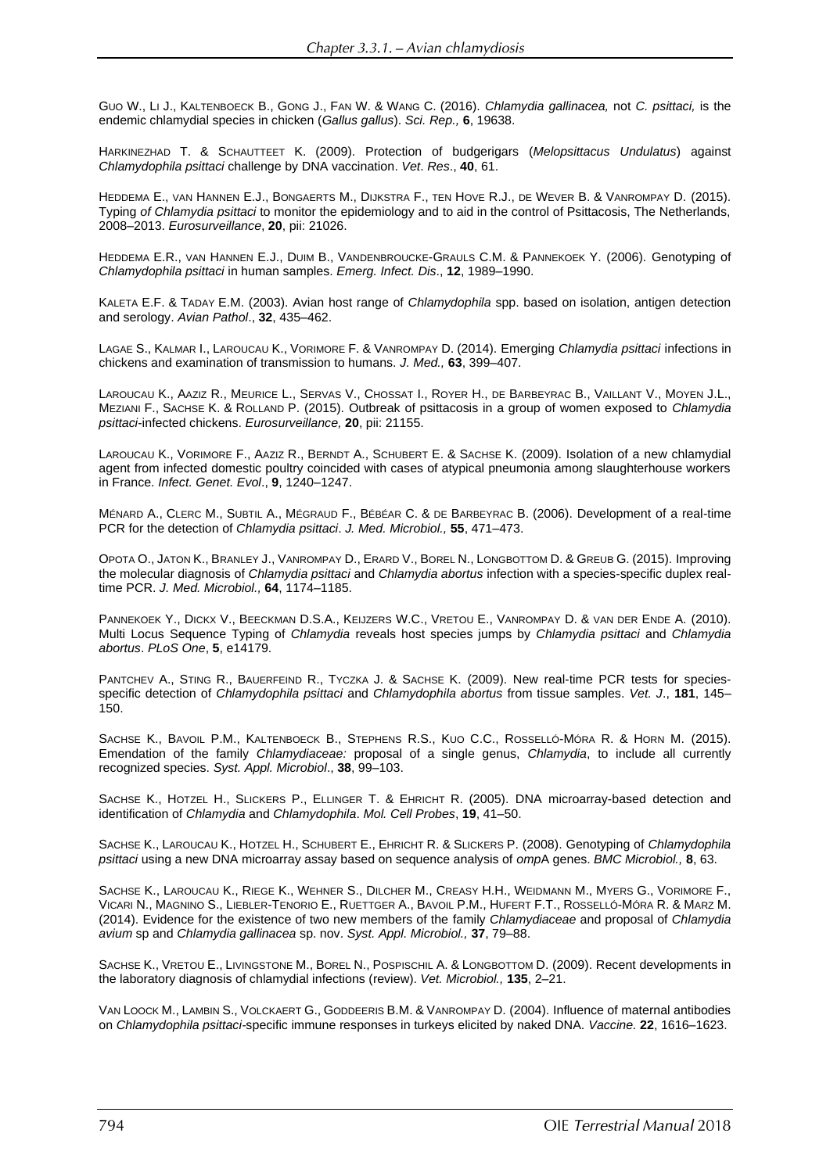GUO W., LI J., KALTENBOECK B., GONG J., FAN W. & WANG C. (2016). *Chlamydia gallinacea,* not *C. psittaci,* is the endemic chlamydial species in chicken (*Gallus gallus*). *Sci. Rep.,* **6**, 19638.

HARKINEZHAD T. & SCHAUTTEET K. (2009). Protection of budgerigars (*Melopsittacus Undulatus*) against *Chlamydophila psittaci* challenge by DNA vaccination. *Vet*. *Res*., **40**, 61.

HEDDEMA E., VAN HANNEN E.J., BONGAERTS M., DIJKSTRA F., TEN HOVE R.J., DE WEVER B. & VANROMPAY D. (2015). Typing *of Chlamydia psittaci* to monitor the epidemiology and to aid in the control of Psittacosis, The Netherlands, 2008–2013. *Eurosurveillance*, **20**, pii: 21026.

HEDDEMA E.R., VAN HANNEN E.J., DUIM B., VANDENBROUCKE-GRAULS C.M. & PANNEKOEK Y. (2006). Genotyping of *Chlamydophila psittaci* in human samples. *Emerg. Infect. Dis*., **12**, 1989–1990.

KALETA E.F. & TADAY E.M. (2003). Avian host range of *Chlamydophila* spp. based on isolation, antigen detection and serology. *Avian Pathol*., **32**, 435–462.

LAGAE S., KALMAR I., LAROUCAU K., VORIMORE F. & VANROMPAY D. (2014). Emerging *Chlamydia psittaci* infections in chickens and examination of transmission to humans. *J. Med.,* **63**, 399–407.

LAROUCAU K., AAZIZ R., MEURICE L., SERVAS V., CHOSSAT I., ROYER H., DE BARBEYRAC B., VAILLANT V., MOYEN J.L., MEZIANI F., SACHSE K. & ROLLAND P. (2015). [Outbreak of psittacosis in a group of women exposed to](https://www.ncbi.nlm.nih.gov/pubmed/26111240) *Chlamydia psittaci*[-infected chickens.](https://www.ncbi.nlm.nih.gov/pubmed/26111240) *Eurosurveillance,* **20**, pii: 21155.

LAROUCAU K., VORIMORE F., AAZIZ R., BERNDT A., SCHUBERT E. & SACHSE K. (2009). Isolation of a new chlamydial agent from infected domestic poultry coincided with cases of atypical pneumonia among slaughterhouse workers in France. *Infect. Genet. Evol*., **9**, 1240–1247.

M[ÉNARD](https://www.ncbi.nlm.nih.gov/pubmed/?term=M%C3%A9nard%20A%5BAuthor%5D&cauthor=true&cauthor_uid=16533998) A., C[LERC](https://www.ncbi.nlm.nih.gov/pubmed/?term=Clerc%20M%5BAuthor%5D&cauthor=true&cauthor_uid=16533998) M., S[UBTIL](https://www.ncbi.nlm.nih.gov/pubmed/?term=Subtil%20A%5BAuthor%5D&cauthor=true&cauthor_uid=16533998) A., M[ÉGRAUD](https://www.ncbi.nlm.nih.gov/pubmed/?term=M%C3%A9graud%20F%5BAuthor%5D&cauthor=true&cauthor_uid=16533998) F., B[ÉBÉAR](https://www.ncbi.nlm.nih.gov/pubmed/?term=B%C3%A9b%C3%A9ar%20C%5BAuthor%5D&cauthor=true&cauthor_uid=16533998) C. & DE B[ARBEYRAC](https://www.ncbi.nlm.nih.gov/pubmed/?term=de%20Barbeyrac%20B%5BAuthor%5D&cauthor=true&cauthor_uid=16533998) B. (2006). Development of a real-time PCR for the detection of *Chlamydia psittaci*. *J. Med. [Microbiol.,](https://www.ncbi.nlm.nih.gov/pubmed/?term=menard+2006+chlam*)* **55**, 471–473.

OPOTA O., JATON K., BRANLEY J., VANROMPAY D., ERARD V., BOREL N., LONGBOTTOM D. & GREUB G. (2015). Improving the molecular diagnosis of *Chlamydia psittaci* and *Chlamydia abortus* infection with a species-specific duplex realtime PCR. *J. Med. Microbiol.,* **64**, 1174–1185.

PANNEKOEK Y., DICKX V., BEECKMAN D.S.A., KEIJZERS W.C., VRETOU E., VANROMPAY D. & VAN DER ENDE A. (2010). Multi Locus Sequence Typing of *Chlamydia* reveals host species jumps by *Chlamydia psittaci* and *Chlamydia abortus*. *PLoS One*, **5**, e14179.

PANTCHEV A., STING R., BAUERFEIND R., TYCZKA J. & SACHSE K. (2009). New real-time PCR tests for speciesspecific detection of *Chlamydophila psittaci* and *Chlamydophila abortus* from tissue samples. *Vet. J*., **181**, 145– 150.

SACHSE K., BAVOIL P.M., KALTENBOECK B., STEPHENS R.S., KUO C.C., ROSSELLÓ-MÓRA R. & HORN M. (2015). Emendation of the family *Chlamydiaceae:* proposal of a single genus, *Chlamydia*, to include all currently recognized species. *Syst. Appl. Microbiol*., **38**, 99–103.

SACHSE K., HOTZEL H., SLICKERS P., ELLINGER T. & EHRICHT R. (2005). DNA microarray-based detection and identification of *Chlamydia* and *Chlamydophila*. *Mol. Cell Probes*, **19**, 41–50.

SACHSE K., LAROUCAU K., HOTZEL H., SCHUBERT E., EHRICHT R. & SLICKERS P. (2008). Genotyping of *Chlamydophila psittaci* using a new DNA microarray assay based on sequence analysis of *omp*A genes. *BMC Microbiol.,* **8**, 63.

SACHSE K., LAROUCAU K., RIEGE K., WEHNER S., DILCHER M., CREASY H.H., WEIDMANN M., MYERS G., VORIMORE F., VICARI N., MAGNINO S., LIEBLER-TENORIO E., RUETTGER A., BAVOIL P.M., HUFERT F.T., ROSSELLÓ-MÓRA R. & MARZ M. (2014). Evidence for the existence of two new members of the family *Chlamydiaceae* and proposal of *Chlamydia avium* sp and *Chlamydia gallinacea* sp. nov. *Syst. Appl. Microbiol.,* **37**, 79–88.

SACHSE K., VRETOU E., LIVINGSTONE M., BOREL N., POSPISCHIL A. & LONGBOTTOM D. (2009). Recent developments in the laboratory diagnosis of chlamydial infections (review). *Vet. Microbiol.,* **135**, 2–21.

VAN LOOCK M., LAMBIN S., VOLCKAERT G., GODDEERIS B.M. & VANROMPAY D. (2004). Influence of maternal antibodies on *Chlamydophila psittaci-*specific immune responses in turkeys elicited by naked DNA. *Vaccine.* **22**, 1616–1623.